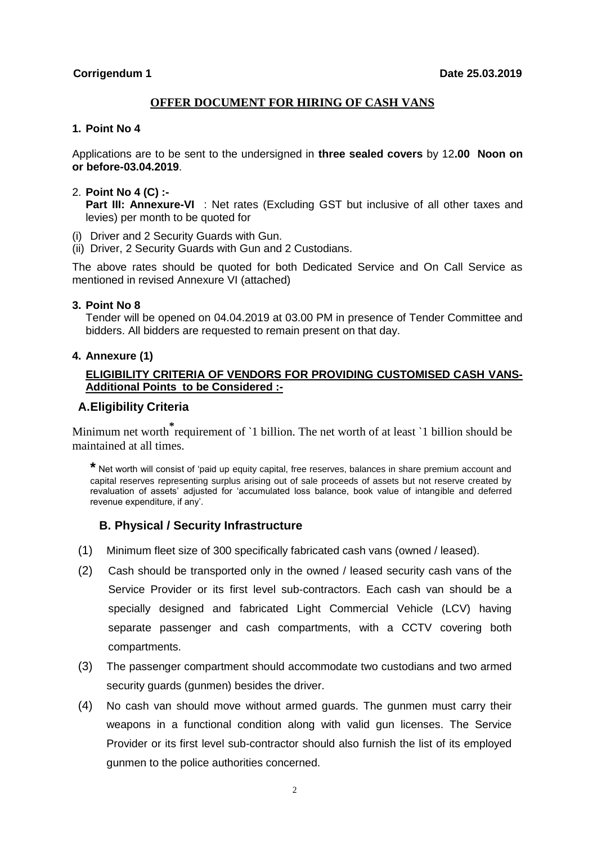#### **OFFER DOCUMENT FOR HIRING OF CASH VANS**

#### **1. Point No 4**

Applications are to be sent to the undersigned in **three sealed covers** by 12**.00 Noon on or before-03.04.2019**.

#### 2. **Point No 4 (C) :-**

**Part III: Annexure-VI** : Net rates (Excluding GST but inclusive of all other taxes and levies) per month to be quoted for

- (i) Driver and 2 Security Guards with Gun.
- (ii) Driver, 2 Security Guards with Gun and 2 Custodians.

The above rates should be quoted for both Dedicated Service and On Call Service as mentioned in revised Annexure VI (attached)

#### **3. Point No 8**

Tender will be opened on 04.04.2019 at 03.00 PM in presence of Tender Committee and bidders. All bidders are requested to remain present on that day.

#### **4. Annexure (1)**

#### **ELIGIBILITY CRITERIA OF VENDORS FOR PROVIDING CUSTOMISED CASH VANS-Additional Points to be Considered :-**

### **A.Eligibility Criteria**

Minimum net worth **[\\*](#page-1-0)** requirement of `1 billion. The net worth of at least `1 billion should be maintained at all times.

**\*** Net worth will consist of 'paid up equity capital, free reserves, balances in share premium account and capital reserves representing surplus arising out of sale proceeds of assets but not reserve created by revaluation of assets' adjusted for 'accumulated loss balance, book value of intangible and deferred revenue expenditure, if any'.

#### **B. Physical / Security Infrastructure**

- (1) Minimum fleet size of 300 specifically fabricated cash vans (owned / leased).
- (2) Cash should be transported only in the owned / leased security cash vans of the Service Provider or its first level sub-contractors. Each cash van should be a specially designed and fabricated Light Commercial Vehicle (LCV) having separate passenger and cash compartments, with a CCTV covering both compartments.
- (3) The passenger compartment should accommodate two custodians and two armed security guards (gunmen) besides the driver.
- (4) No cash van should move without armed guards. The gunmen must carry their weapons in a functional condition along with valid gun licenses. The Service Provider or its first level sub-contractor should also furnish the list of its employed gunmen to the police authorities concerned.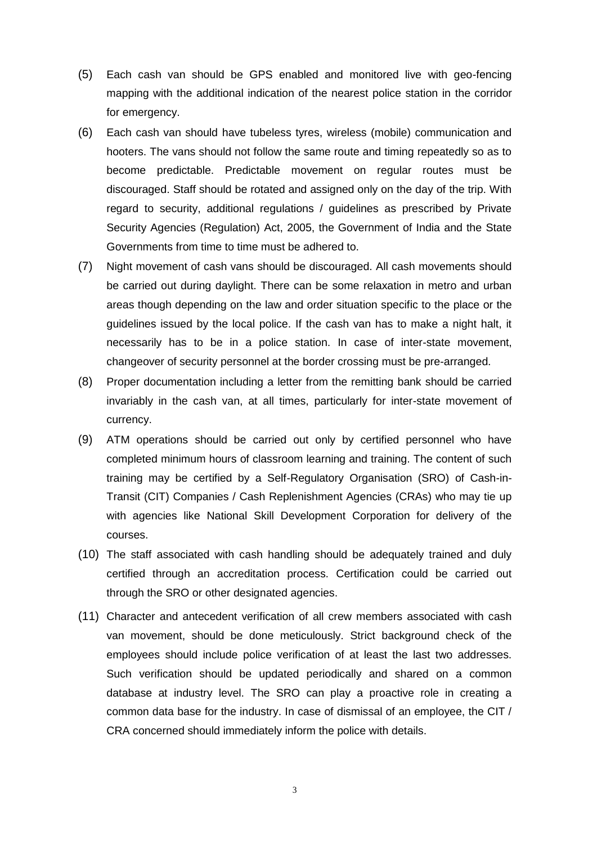- <span id="page-1-0"></span>(5) Each cash van should be GPS enabled and monitored live with geo-fencing mapping with the additional indication of the nearest police station in the corridor for emergency.
- (6) Each cash van should have tubeless tyres, wireless (mobile) communication and hooters. The vans should not follow the same route and timing repeatedly so as to become predictable. Predictable movement on regular routes must be discouraged. Staff should be rotated and assigned only on the day of the trip. With regard to security, additional regulations / guidelines as prescribed by Private Security Agencies (Regulation) Act, 2005, the Government of India and the State Governments from time to time must be adhered to.
- (7) Night movement of cash vans should be discouraged. All cash movements should be carried out during daylight. There can be some relaxation in metro and urban areas though depending on the law and order situation specific to the place or the guidelines issued by the local police. If the cash van has to make a night halt, it necessarily has to be in a police station. In case of inter-state movement, changeover of security personnel at the border crossing must be pre-arranged.
- (8) Proper documentation including a letter from the remitting bank should be carried invariably in the cash van, at all times, particularly for inter-state movement of currency.
- (9) ATM operations should be carried out only by certified personnel who have completed minimum hours of classroom learning and training. The content of such training may be certified by a Self-Regulatory Organisation (SRO) of Cash-in-Transit (CIT) Companies / Cash Replenishment Agencies (CRAs) who may tie up with agencies like National Skill Development Corporation for delivery of the courses.
- (10) The staff associated with cash handling should be adequately trained and duly certified through an accreditation process. Certification could be carried out through the SRO or other designated agencies.
- (11) Character and antecedent verification of all crew members associated with cash van movement, should be done meticulously. Strict background check of the employees should include police verification of at least the last two addresses. Such verification should be updated periodically and shared on a common database at industry level. The SRO can play a proactive role in creating a common data base for the industry. In case of dismissal of an employee, the CIT / CRA concerned should immediately inform the police with details.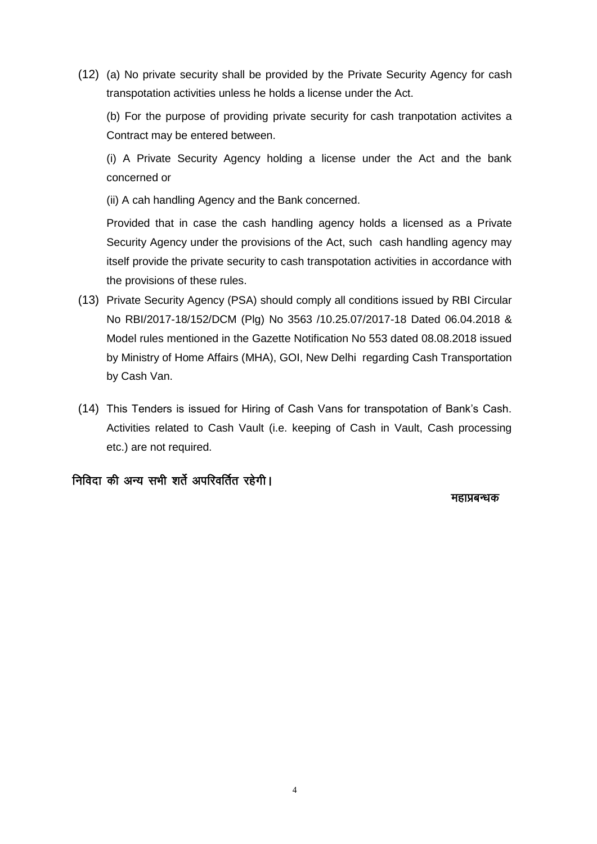(12) (a) No private security shall be provided by the Private Security Agency for cash transpotation activities unless he holds a license under the Act.

(b) For the purpose of providing private security for cash tranpotation activites a Contract may be entered between.

(i) A Private Security Agency holding a license under the Act and the bank concerned or

(ii) A cah handling Agency and the Bank concerned.

Provided that in case the cash handling agency holds a licensed as a Private Security Agency under the provisions of the Act, such cash handling agency may itself provide the private security to cash transpotation activities in accordance with the provisions of these rules.

- (13) Private Security Agency (PSA) should comply all conditions issued by RBI Circular No RBI/2017-18/152/DCM (Plg) No 3563 /10.25.07/2017-18 Dated 06.04.2018 & Model rules mentioned in the Gazette Notification No 553 dated 08.08.2018 issued by Ministry of Home Affairs (MHA), GOI, New Delhi regarding Cash Transportation by Cash Van.
- (14) This Tenders is issued for Hiring of Cash Vans for transpotation of Bank's Cash. Activities related to Cash Vault (i.e. keeping of Cash in Vault, Cash processing etc.) are not required.

## निविदा की अन्य सभी शर्ते अपरिवर्तित रहेगी।

ल्लाहरू के बाद प्रदेश कर रही है। अब प्रदेश के बाद प्रदेश के बाद प्रदेश के बाद प्रदेश कर रही प्रदेश के बाद प्रद<br>इस प्रदेश के बाद प्रदेश के बाद प्रदेश के बाद प्रदेश के बाद प्रदेश के बाद प्रदेश के बाद प्रदेश के बाद प्रदेश क